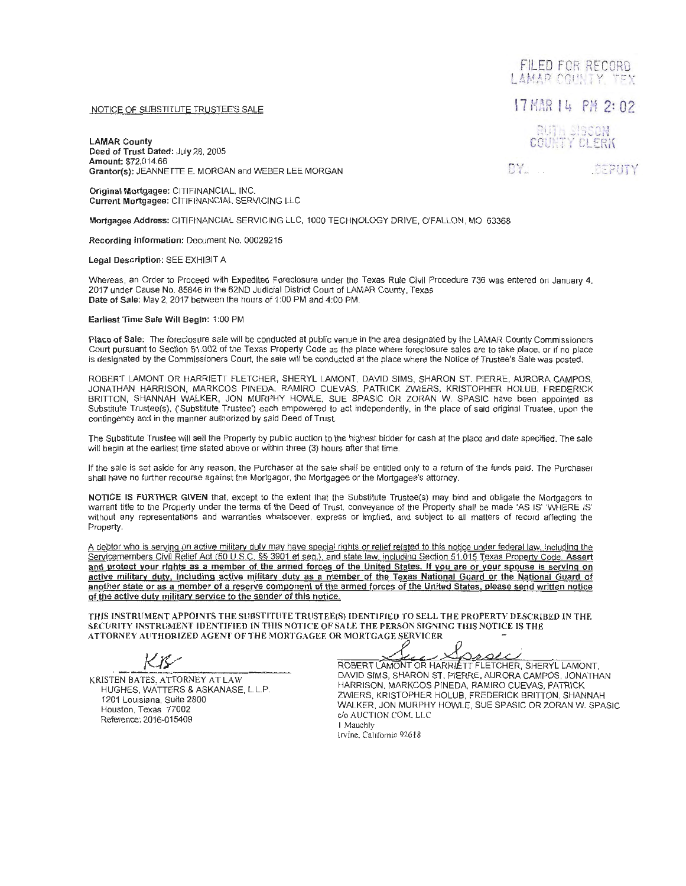## NOTICE OF SUBSTITUTE TRUSTEE'S SALE

LAMAR County Deed of Trust Dated: July 28, 2005 Amount: \$72,014.66 Grantor(s): JEANNETTE E. MORGAN and WEBER LEE MORGAN

Original Mortgagee: CITIFINANCIAL, INC. Current Mortgagee: CITIFINANCIAL SERVICING LLC

Mortgagee Address: CITIFINANCIAL SERVICING LLC, 1000 TECHNOLOGY DRIVE, O'FALLON, MO 63368

Recording Information: Document No. 00029215

Legal Description: SEE EXHIBIT A

Whereas, an Order to Proceed with Expedited Foreclosure under the Texas Rule Civil Procedure 736 was entered on January 4. 2017 under Cause No. 85846 in the 62ND Judicial District Court of LAMAR County, Texas Date of Sale: May 2, 2017 between the hours of 1 :00 PM and 4:00 PM.

Earliest Time Sale Will Begin: 1 :00 PM

Place of Sale: The foreclosure sale will be conducted at public venue in the area designated by the LAMAR County Commissioners Court pursuant to Section 51.002 of the Texas Property Code as the place where foreclosure sales are to take place, or if no place is designated by the Commissioners Court, the sale will be conducted at the place where the Notice of Trustee's Sale was posted.

ROBERT LAMONT OR HARRIETT FLETCHER, SHERYL LAMONT. DAVID SIMS, SHARON ST. PIERRE, AURORA CAMPOS, JONATHAN HARRISON, MARKCOS PINEDA, RAMIRO CUEVAS, PATRICK ZWIERS, KRISTOPHER HOLUB, FREDERICK BRITTON, SHANNAH WALKER, JON MURPHY HOWLE, SUE SPASIC OR ZORAN W. SPASIC have been appointed as Substitute Trustee(s), ('Substitute Trustee') each empowered to act independently, in the place of said original Trustee, upon the contingency and in the manner authorized by said Deed of Trust.

The Substitute Trustee will sell the Property by public auction to the highest bidder for cash at the place and date specified. The sale will begin at the earliest time stated above or within three (3) hours after that time.

If the sale is set aside for any reason, the Purchaser at the sale shall be entitled only to a return of the funds paid. The Purchaser shall have no further recourse against the Mortgagor. the Mortgagee or the Mortgagee's attorney.

NOTICE IS FURTHER GIVEN that, except to the extent that the Substitute Trustee(s) may bind and obligate the Mortgagors to warrant title to the Property under the terms of the Deed of Trust, conveyance of the Property shall be made 'AS IS' 'WHERE IS' without any representations and warranties whatsoever, express or implied, and subject to all matters of record affecting the Property.

A debtor who is serving on active military duty may have special rights or relief related to this notice under federal law. including the Servicemembers Civil Relief Act (50 U.S.C. §§ 3901 et seq.). and state law. including Section 51.015 Texas Property Code. Assert and protect your rights as a member of the armed forces of the United States. If you are or your spouse is serving on active military duty, Including active military duty as a member of the Texas National Guard or the National Guard of another state or as a member of a reserve component of the armed forces of the United States, please send written notice of the active duty military service to the sender of this notice.

THIS INSTRUMENT APPOINTS THE SUBSTITUTE TRUSTEE(S) IDENTIFIED TO SELL THE PROPERTY DESCRIBED IN THE SECURITY INSTRUMENT IDENTIFIED IN THIS NOTICE OF SALE THE PERSON SIGNING THIS NOTICE IS THE ATTORNEY AUTHORIZED AGENT OF THE MORTGAGEE OR MORTGAGE SERVICER

KRISTEN BATES, ATTORNEY AT LAW HUGHES, WATTERS & ASKANASE, L.L.P. 1201 Louisiana, Suite 2800 Houston, Texas 77002 Reference: 2016-015409

ROBERT LAMONT OR HARRIETT FLETCHER, SHERYL LAMONT,

DAVID SIMS, SHARON ST. PIERRE, AURORA CAMPOS, JONATHAN HARRISON, MARKCOS PINEDA, RAMIRO CUEVAS, PATRICK ZWIERS, KRISTOPHER HOLUB, FREDERICK BRITTON, SHANNAH WALKER, JON MURPHY HOWLE, SUE SPASIC OR ZORAN W. SPASIC c/o AUCTION.COM. LLC I Mauchly

Irvine. California 92618

DY. **DEPUTY** 

.<br>County Clerk

FILED FOR RECORD LAMAR COUNTY TEX

17 HAR 14 PH 2: 02